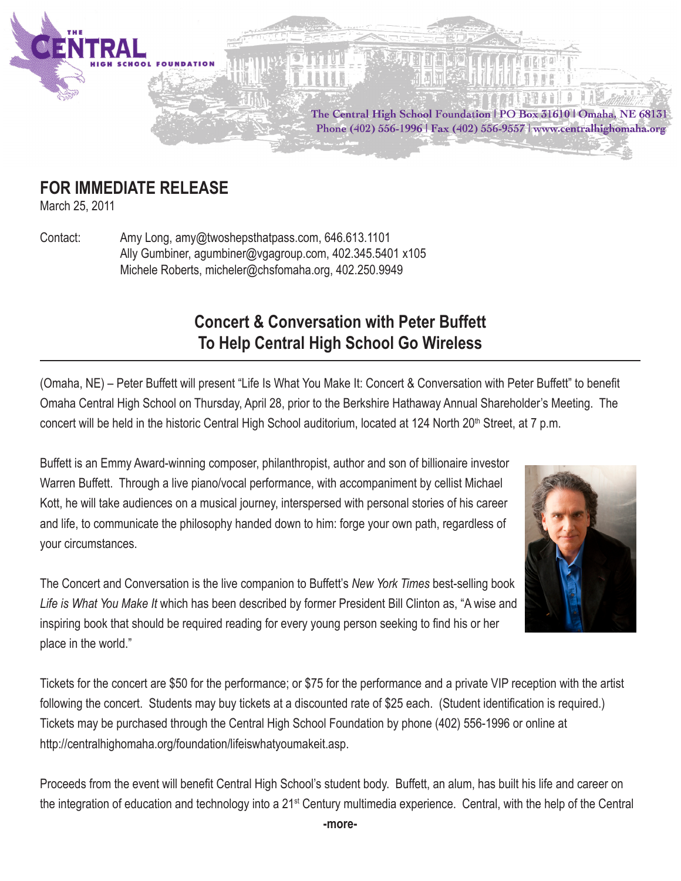

## **FOR IMMEDIATE RELEASE**

March 25, 2011

Contact: Amy Long, amy@twoshepsthatpass.com, 646.613.1101 Ally Gumbiner, agumbiner@vgagroup.com, 402.345.5401 x105 Michele Roberts, micheler@chsfomaha.org, 402.250.9949

## **Concert & Conversation with Peter Buffett To Help Central High School Go Wireless**

(Omaha, NE) – Peter Buffett will present "Life Is What You Make It: Concert & Conversation with Peter Buffett" to benefit Omaha Central High School on Thursday, April 28, prior to the Berkshire Hathaway Annual Shareholder's Meeting. The concert will be held in the historic Central High School auditorium, located at 124 North 20<sup>th</sup> Street, at 7 p.m.

Buffett is an Emmy Award-winning composer, philanthropist, author and son of billionaire investor Warren Buffett. Through a live piano/vocal performance, with accompaniment by cellist Michael Kott, he will take audiences on a musical journey, interspersed with personal stories of his career and life, to communicate the philosophy handed down to him: forge your own path, regardless of your circumstances.



The Concert and Conversation is the live companion to Buffett's *New York Times* best-selling book *Life is What You Make It* which has been described by former President Bill Clinton as, "A wise and inspiring book that should be required reading for every young person seeking to find his or her place in the world."

Tickets for the concert are \$50 for the performance; or \$75 for the performance and a private VIP reception with the artist following the concert. Students may buy tickets at a discounted rate of \$25 each. (Student identification is required.) Tickets may be purchased through the Central High School Foundation by phone (402) 556-1996 or online at http://centralhighomaha.org/foundation/lifeiswhatyoumakeit.asp.

Proceeds from the event will benefit Central High School's student body. Buffett, an alum, has built his life and career on the integration of education and technology into a 21<sup>st</sup> Century multimedia experience. Central, with the help of the Central